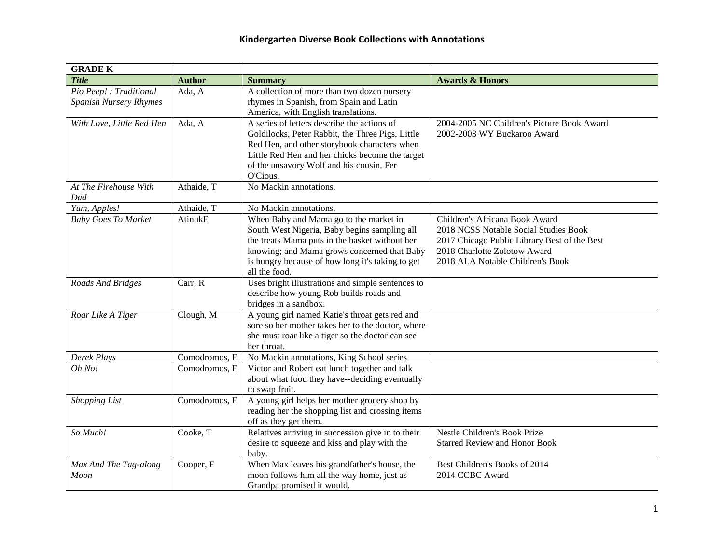| <b>GRADE K</b>                                    |               |                                                                                                                                                                                                                                                              |                                                                                                                                                                                             |
|---------------------------------------------------|---------------|--------------------------------------------------------------------------------------------------------------------------------------------------------------------------------------------------------------------------------------------------------------|---------------------------------------------------------------------------------------------------------------------------------------------------------------------------------------------|
| <b>Title</b>                                      | <b>Author</b> | <b>Summary</b>                                                                                                                                                                                                                                               | <b>Awards &amp; Honors</b>                                                                                                                                                                  |
| Pio Peep! : Traditional<br>Spanish Nursery Rhymes | Ada, A        | A collection of more than two dozen nursery<br>rhymes in Spanish, from Spain and Latin<br>America, with English translations.                                                                                                                                |                                                                                                                                                                                             |
| With Love, Little Red Hen                         | Ada, A        | A series of letters describe the actions of<br>Goldilocks, Peter Rabbit, the Three Pigs, Little<br>Red Hen, and other storybook characters when<br>Little Red Hen and her chicks become the target<br>of the unsavory Wolf and his cousin, Fer<br>O'Cious.   | 2004-2005 NC Children's Picture Book Award<br>2002-2003 WY Buckaroo Award                                                                                                                   |
| At The Firehouse With<br>Dad                      | Athaide, T    | No Mackin annotations.                                                                                                                                                                                                                                       |                                                                                                                                                                                             |
| Yum, Apples!                                      | Athaide, T    | No Mackin annotations.                                                                                                                                                                                                                                       |                                                                                                                                                                                             |
| <b>Baby Goes To Market</b>                        | AtinukE       | When Baby and Mama go to the market in<br>South West Nigeria, Baby begins sampling all<br>the treats Mama puts in the basket without her<br>knowing; and Mama grows concerned that Baby<br>is hungry because of how long it's taking to get<br>all the food. | Children's Africana Book Award<br>2018 NCSS Notable Social Studies Book<br>2017 Chicago Public Library Best of the Best<br>2018 Charlotte Zolotow Award<br>2018 ALA Notable Children's Book |
| Roads And Bridges                                 | Carr, R       | Uses bright illustrations and simple sentences to<br>describe how young Rob builds roads and<br>bridges in a sandbox.                                                                                                                                        |                                                                                                                                                                                             |
| Roar Like A Tiger                                 | Clough, M     | A young girl named Katie's throat gets red and<br>sore so her mother takes her to the doctor, where<br>she must roar like a tiger so the doctor can see<br>her throat.                                                                                       |                                                                                                                                                                                             |
| Derek Plays                                       | Comodromos, E | No Mackin annotations, King School series                                                                                                                                                                                                                    |                                                                                                                                                                                             |
| Oh No!                                            | Comodromos, E | Victor and Robert eat lunch together and talk<br>about what food they have--deciding eventually<br>to swap fruit.                                                                                                                                            |                                                                                                                                                                                             |
| <b>Shopping List</b>                              | Comodromos, E | A young girl helps her mother grocery shop by<br>reading her the shopping list and crossing items<br>off as they get them.                                                                                                                                   |                                                                                                                                                                                             |
| So Much!                                          | Cooke, T      | Relatives arriving in succession give in to their<br>desire to squeeze and kiss and play with the<br>baby.                                                                                                                                                   | Nestle Children's Book Prize<br><b>Starred Review and Honor Book</b>                                                                                                                        |
| Max And The Tag-along<br>Moon                     | Cooper, F     | When Max leaves his grandfather's house, the<br>moon follows him all the way home, just as<br>Grandpa promised it would.                                                                                                                                     | Best Children's Books of 2014<br>2014 CCBC Award                                                                                                                                            |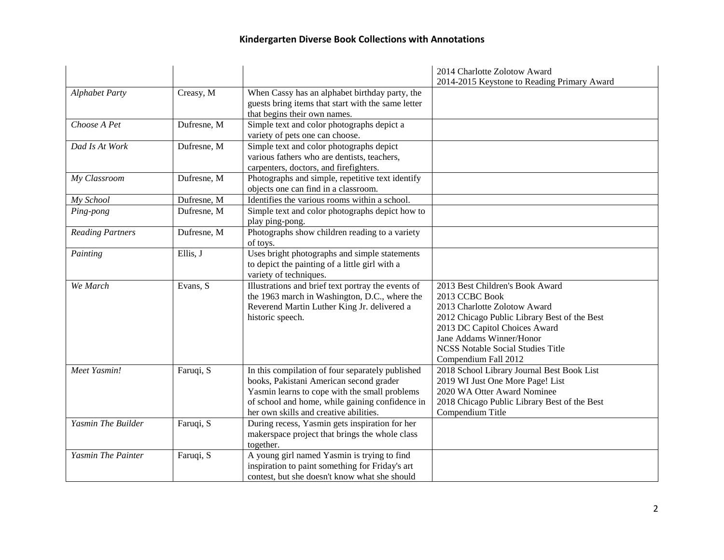|                         |             |                                                                               | 2014 Charlotte Zolotow Award                 |
|-------------------------|-------------|-------------------------------------------------------------------------------|----------------------------------------------|
|                         |             |                                                                               | 2014-2015 Keystone to Reading Primary Award  |
| <b>Alphabet Party</b>   | Creasy, M   | When Cassy has an alphabet birthday party, the                                |                                              |
|                         |             | guests bring items that start with the same letter                            |                                              |
| Choose A Pet            | Dufresne, M | that begins their own names.                                                  |                                              |
|                         |             | Simple text and color photographs depict a<br>variety of pets one can choose. |                                              |
| Dad Is At Work          | Dufresne, M | Simple text and color photographs depict                                      |                                              |
|                         |             | various fathers who are dentists, teachers,                                   |                                              |
|                         |             | carpenters, doctors, and firefighters.                                        |                                              |
| My Classroom            | Dufresne, M | Photographs and simple, repetitive text identify                              |                                              |
|                         |             | objects one can find in a classroom.                                          |                                              |
| My School               | Dufresne, M | Identifies the various rooms within a school.                                 |                                              |
| Ping-pong               | Dufresne, M | Simple text and color photographs depict how to                               |                                              |
|                         |             | play ping-pong.                                                               |                                              |
| <b>Reading Partners</b> | Dufresne, M | Photographs show children reading to a variety                                |                                              |
|                         |             | of toys.                                                                      |                                              |
| Painting                | Ellis, J    | Uses bright photographs and simple statements                                 |                                              |
|                         |             | to depict the painting of a little girl with a                                |                                              |
|                         |             | variety of techniques.                                                        |                                              |
| We March                | Evans, S    | Illustrations and brief text portray the events of                            | 2013 Best Children's Book Award              |
|                         |             | the 1963 march in Washington, D.C., where the                                 | 2013 CCBC Book                               |
|                         |             | Reverend Martin Luther King Jr. delivered a                                   | 2013 Charlotte Zolotow Award                 |
|                         |             | historic speech.                                                              | 2012 Chicago Public Library Best of the Best |
|                         |             |                                                                               | 2013 DC Capitol Choices Award                |
|                         |             |                                                                               | Jane Addams Winner/Honor                     |
|                         |             |                                                                               | <b>NCSS Notable Social Studies Title</b>     |
|                         |             |                                                                               | Compendium Fall 2012                         |
| Meet Yasmin!            | Faruqi, S   | In this compilation of four separately published                              | 2018 School Library Journal Best Book List   |
|                         |             | books, Pakistani American second grader                                       | 2019 WI Just One More Page! List             |
|                         |             | Yasmin learns to cope with the small problems                                 | 2020 WA Otter Award Nominee                  |
|                         |             | of school and home, while gaining confidence in                               | 2018 Chicago Public Library Best of the Best |
|                         |             | her own skills and creative abilities.                                        | Compendium Title                             |
| Yasmin The Builder      | Faruqi, S   | During recess, Yasmin gets inspiration for her                                |                                              |
|                         |             | makerspace project that brings the whole class                                |                                              |
|                         |             | together.                                                                     |                                              |
| Yasmin The Painter      | Faruqi, S   | A young girl named Yasmin is trying to find                                   |                                              |
|                         |             | inspiration to paint something for Friday's art                               |                                              |
|                         |             | contest, but she doesn't know what she should                                 |                                              |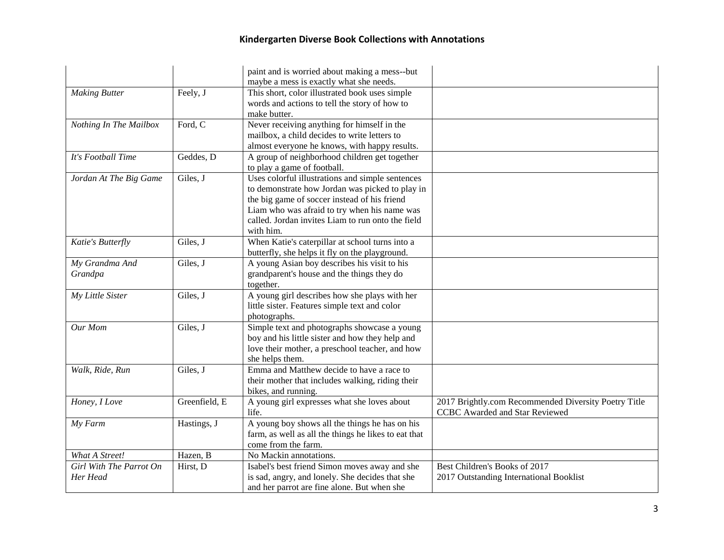|                                     |               | paint and is worried about making a mess--but<br>maybe a mess is exactly what she needs.                                                                                                                                                                              |                                                                                               |
|-------------------------------------|---------------|-----------------------------------------------------------------------------------------------------------------------------------------------------------------------------------------------------------------------------------------------------------------------|-----------------------------------------------------------------------------------------------|
| <b>Making Butter</b>                | Feely, J      | This short, color illustrated book uses simple<br>words and actions to tell the story of how to<br>make butter.                                                                                                                                                       |                                                                                               |
| Nothing In The Mailbox              | Ford, C       | Never receiving anything for himself in the<br>mailbox, a child decides to write letters to<br>almost everyone he knows, with happy results.                                                                                                                          |                                                                                               |
| It's Football Time                  | Geddes, D     | A group of neighborhood children get together<br>to play a game of football.                                                                                                                                                                                          |                                                                                               |
| Jordan At The Big Game              | Giles, J      | Uses colorful illustrations and simple sentences<br>to demonstrate how Jordan was picked to play in<br>the big game of soccer instead of his friend<br>Liam who was afraid to try when his name was<br>called. Jordan invites Liam to run onto the field<br>with him. |                                                                                               |
| Katie's Butterfly                   | Giles, J      | When Katie's caterpillar at school turns into a<br>butterfly, she helps it fly on the playground.                                                                                                                                                                     |                                                                                               |
| My Grandma And<br>Grandpa           | Giles, J      | A young Asian boy describes his visit to his<br>grandparent's house and the things they do<br>together.                                                                                                                                                               |                                                                                               |
| My Little Sister                    | Giles, J      | A young girl describes how she plays with her<br>little sister. Features simple text and color<br>photographs.                                                                                                                                                        |                                                                                               |
| Our Mom                             | Giles, J      | Simple text and photographs showcase a young<br>boy and his little sister and how they help and<br>love their mother, a preschool teacher, and how<br>she helps them.                                                                                                 |                                                                                               |
| Walk, Ride, Run                     | Giles, J      | Emma and Matthew decide to have a race to<br>their mother that includes walking, riding their<br>bikes, and running.                                                                                                                                                  |                                                                                               |
| Honey, I Love                       | Greenfield, E | A young girl expresses what she loves about<br>life.                                                                                                                                                                                                                  | 2017 Brightly.com Recommended Diversity Poetry Title<br><b>CCBC</b> Awarded and Star Reviewed |
| My Farm                             | Hastings, J   | A young boy shows all the things he has on his<br>farm, as well as all the things he likes to eat that<br>come from the farm.                                                                                                                                         |                                                                                               |
| What A Street!                      | Hazen, B      | No Mackin annotations.                                                                                                                                                                                                                                                |                                                                                               |
| Girl With The Parrot On<br>Her Head | Hirst, D      | Isabel's best friend Simon moves away and she<br>is sad, angry, and lonely. She decides that she<br>and her parrot are fine alone. But when she                                                                                                                       | Best Children's Books of 2017<br>2017 Outstanding International Booklist                      |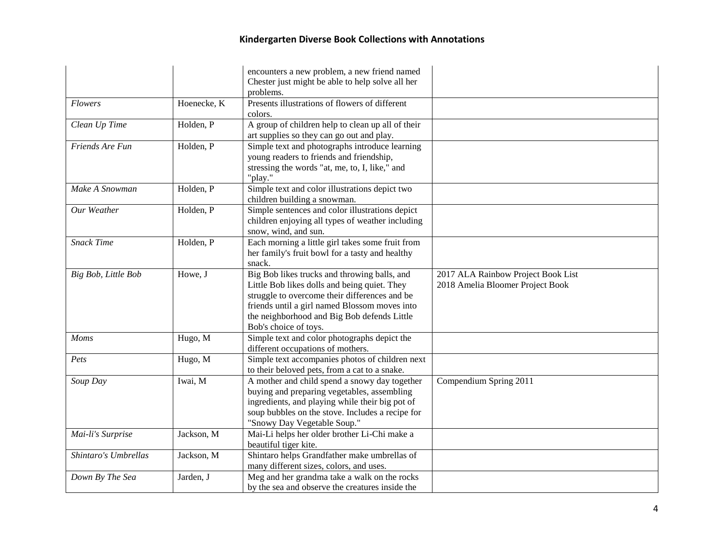|                      |             | encounters a new problem, a new friend named<br>Chester just might be able to help solve all her                                                                                                                                                                       |                                                                        |
|----------------------|-------------|------------------------------------------------------------------------------------------------------------------------------------------------------------------------------------------------------------------------------------------------------------------------|------------------------------------------------------------------------|
|                      |             | problems.                                                                                                                                                                                                                                                              |                                                                        |
| <b>Flowers</b>       | Hoenecke, K | Presents illustrations of flowers of different<br>colors.                                                                                                                                                                                                              |                                                                        |
| Clean Up Time        | Holden, P   | A group of children help to clean up all of their<br>art supplies so they can go out and play.                                                                                                                                                                         |                                                                        |
| Friends Are Fun      | Holden, P   | Simple text and photographs introduce learning<br>young readers to friends and friendship,<br>stressing the words "at, me, to, I, like," and<br>"play."                                                                                                                |                                                                        |
| Make A Snowman       | Holden, P   | Simple text and color illustrations depict two<br>children building a snowman.                                                                                                                                                                                         |                                                                        |
| Our Weather          | Holden, P   | Simple sentences and color illustrations depict<br>children enjoying all types of weather including<br>snow, wind, and sun.                                                                                                                                            |                                                                        |
| <b>Snack Time</b>    | Holden, P   | Each morning a little girl takes some fruit from<br>her family's fruit bowl for a tasty and healthy<br>snack.                                                                                                                                                          |                                                                        |
| Big Bob, Little Bob  | Howe, J     | Big Bob likes trucks and throwing balls, and<br>Little Bob likes dolls and being quiet. They<br>struggle to overcome their differences and be<br>friends until a girl named Blossom moves into<br>the neighborhood and Big Bob defends Little<br>Bob's choice of toys. | 2017 ALA Rainbow Project Book List<br>2018 Amelia Bloomer Project Book |
| Moms                 | Hugo, M     | Simple text and color photographs depict the<br>different occupations of mothers.                                                                                                                                                                                      |                                                                        |
| Pets                 | Hugo, M     | Simple text accompanies photos of children next<br>to their beloved pets, from a cat to a snake.                                                                                                                                                                       |                                                                        |
| Soup Day             | Iwai, M     | A mother and child spend a snowy day together<br>buying and preparing vegetables, assembling<br>ingredients, and playing while their big pot of<br>soup bubbles on the stove. Includes a recipe for<br>"Snowy Day Vegetable Soup."                                     | Compendium Spring 2011                                                 |
| Mai-li's Surprise    | Jackson, M  | Mai-Li helps her older brother Li-Chi make a<br>beautiful tiger kite.                                                                                                                                                                                                  |                                                                        |
| Shintaro's Umbrellas | Jackson, M  | Shintaro helps Grandfather make umbrellas of<br>many different sizes, colors, and uses.                                                                                                                                                                                |                                                                        |
| Down By The Sea      | Jarden, J   | Meg and her grandma take a walk on the rocks<br>by the sea and observe the creatures inside the                                                                                                                                                                        |                                                                        |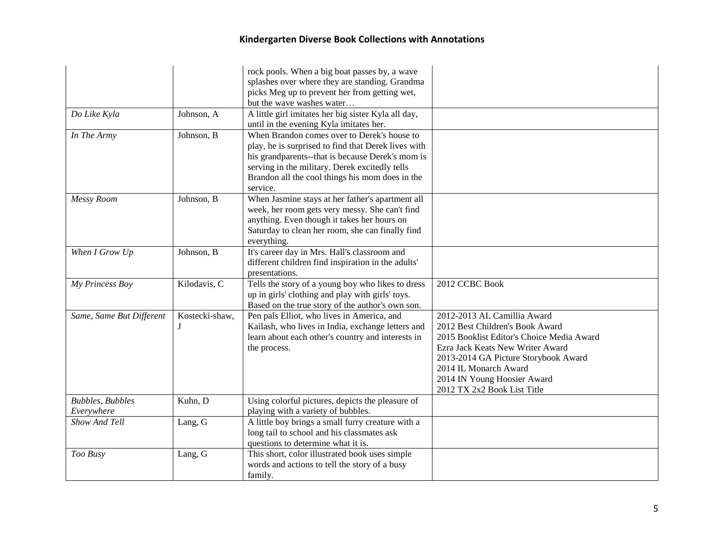|                                 |                | rock pools. When a big boat passes by, a wave<br>splashes over where they are standing. Grandma      |                                           |
|---------------------------------|----------------|------------------------------------------------------------------------------------------------------|-------------------------------------------|
|                                 |                | picks Meg up to prevent her from getting wet,                                                        |                                           |
|                                 |                | but the wave washes water                                                                            |                                           |
| Do Like Kyla                    | Johnson, A     | A little girl imitates her big sister Kyla all day,                                                  |                                           |
|                                 |                | until in the evening Kyla imitates her.                                                              |                                           |
| In The Army                     | Johnson, B     | When Brandon comes over to Derek's house to                                                          |                                           |
|                                 |                | play, he is surprised to find that Derek lives with                                                  |                                           |
|                                 |                | his grandparents--that is because Derek's mom is                                                     |                                           |
|                                 |                | serving in the military. Derek excitedly tells                                                       |                                           |
|                                 |                | Brandon all the cool things his mom does in the                                                      |                                           |
|                                 |                | service.                                                                                             |                                           |
| Messy Room                      | Johnson, B     | When Jasmine stays at her father's apartment all                                                     |                                           |
|                                 |                | week, her room gets very messy. She can't find                                                       |                                           |
|                                 |                | anything. Even though it takes her hours on                                                          |                                           |
|                                 |                | Saturday to clean her room, she can finally find                                                     |                                           |
|                                 |                | everything.                                                                                          |                                           |
| When I Grow Up                  | Johnson, B     | It's career day in Mrs. Hall's classroom and                                                         |                                           |
|                                 |                | different children find inspiration in the adults'                                                   |                                           |
|                                 |                | presentations.                                                                                       |                                           |
| My Princess Boy                 | Kilodavis, C   | Tells the story of a young boy who likes to dress                                                    | 2012 CCBC Book                            |
|                                 |                | up in girls' clothing and play with girls' toys.<br>Based on the true story of the author's own son. |                                           |
| Same, Same But Different        | Kostecki-shaw, | Pen pals Elliot, who lives in America, and                                                           | 2012-2013 AL Camillia Award               |
|                                 |                | Kailash, who lives in India, exchange letters and                                                    | 2012 Best Children's Book Award           |
|                                 |                | learn about each other's country and interests in                                                    | 2015 Booklist Editor's Choice Media Award |
|                                 |                | the process.                                                                                         | Ezra Jack Keats New Writer Award          |
|                                 |                |                                                                                                      | 2013-2014 GA Picture Storybook Award      |
|                                 |                |                                                                                                      | 2014 IL Monarch Award                     |
|                                 |                |                                                                                                      | 2014 IN Young Hoosier Award               |
|                                 |                |                                                                                                      | 2012 TX 2x2 Book List Title               |
| <b>Bubbles</b> , <b>Bubbles</b> | Kuhn, D        | Using colorful pictures, depicts the pleasure of                                                     |                                           |
| Everywhere                      |                | playing with a variety of bubbles.                                                                   |                                           |
| Show And Tell                   | Lang, G        | A little boy brings a small furry creature with a                                                    |                                           |
|                                 |                | long tail to school and his classmates ask                                                           |                                           |
|                                 |                | questions to determine what it is.                                                                   |                                           |
| Too Busy                        | Lang, G        | This short, color illustrated book uses simple                                                       |                                           |
|                                 |                | words and actions to tell the story of a busy                                                        |                                           |
|                                 |                | family.                                                                                              |                                           |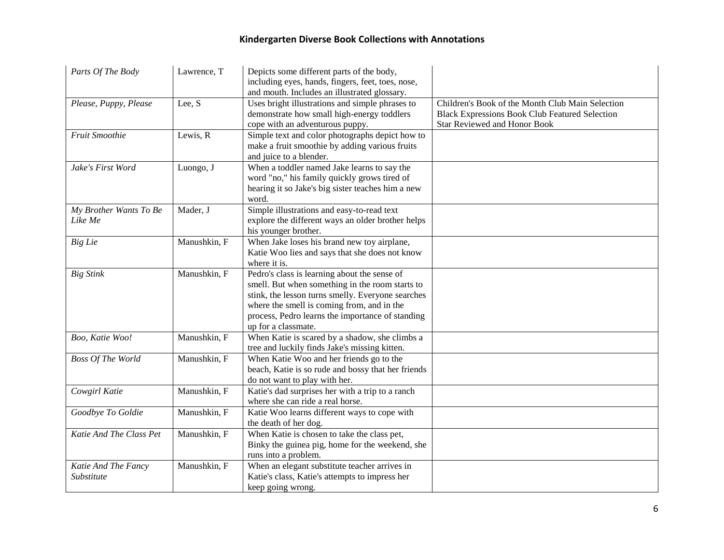| Parts Of The Body                 | Lawrence, T  | Depicts some different parts of the body,<br>including eyes, hands, fingers, feet, toes, nose,<br>and mouth. Includes an illustrated glossary.                                                                                                                                |                                                                                                                                                  |
|-----------------------------------|--------------|-------------------------------------------------------------------------------------------------------------------------------------------------------------------------------------------------------------------------------------------------------------------------------|--------------------------------------------------------------------------------------------------------------------------------------------------|
| Please, Puppy, Please             | Lee, S       | Uses bright illustrations and simple phrases to<br>demonstrate how small high-energy toddlers<br>cope with an adventurous puppy.                                                                                                                                              | Children's Book of the Month Club Main Selection<br><b>Black Expressions Book Club Featured Selection</b><br><b>Star Reviewed and Honor Book</b> |
| Fruit Smoothie                    | Lewis, R     | Simple text and color photographs depict how to<br>make a fruit smoothie by adding various fruits<br>and juice to a blender.                                                                                                                                                  |                                                                                                                                                  |
| Jake's First Word                 | Luongo, J    | When a toddler named Jake learns to say the<br>word "no," his family quickly grows tired of<br>hearing it so Jake's big sister teaches him a new<br>word.                                                                                                                     |                                                                                                                                                  |
| My Brother Wants To Be<br>Like Me | Mader, J     | Simple illustrations and easy-to-read text<br>explore the different ways an older brother helps<br>his younger brother.                                                                                                                                                       |                                                                                                                                                  |
| Big Lie                           | Manushkin, F | When Jake loses his brand new toy airplane,<br>Katie Woo lies and says that she does not know<br>where it is.                                                                                                                                                                 |                                                                                                                                                  |
| <b>Big Stink</b>                  | Manushkin, F | Pedro's class is learning about the sense of<br>smell. But when something in the room starts to<br>stink, the lesson turns smelly. Everyone searches<br>where the smell is coming from, and in the<br>process, Pedro learns the importance of standing<br>up for a classmate. |                                                                                                                                                  |
| Boo, Katie Woo!                   | Manushkin, F | When Katie is scared by a shadow, she climbs a<br>tree and luckily finds Jake's missing kitten.                                                                                                                                                                               |                                                                                                                                                  |
| Boss Of The World                 | Manushkin, F | When Katie Woo and her friends go to the<br>beach, Katie is so rude and bossy that her friends<br>do not want to play with her.                                                                                                                                               |                                                                                                                                                  |
| Cowgirl Katie                     | Manushkin, F | Katie's dad surprises her with a trip to a ranch<br>where she can ride a real horse.                                                                                                                                                                                          |                                                                                                                                                  |
| Goodbye To Goldie                 | Manushkin, F | Katie Woo learns different ways to cope with<br>the death of her dog.                                                                                                                                                                                                         |                                                                                                                                                  |
| Katie And The Class Pet           | Manushkin, F | When Katie is chosen to take the class pet,<br>Binky the guinea pig, home for the weekend, she<br>runs into a problem.                                                                                                                                                        |                                                                                                                                                  |
| Katie And The Fancy<br>Substitute | Manushkin, F | When an elegant substitute teacher arrives in<br>Katie's class, Katie's attempts to impress her<br>keep going wrong.                                                                                                                                                          |                                                                                                                                                  |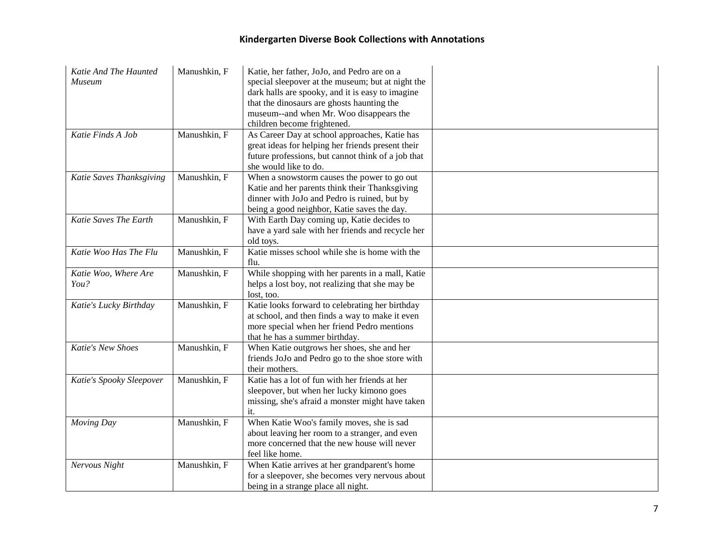| Katie And The Haunted<br>Museum | Manushkin, F | Katie, her father, JoJo, and Pedro are on a<br>special sleepover at the museum; but at night the<br>dark halls are spooky, and it is easy to imagine<br>that the dinosaurs are ghosts haunting the<br>museum--and when Mr. Woo disappears the<br>children become frightened. |  |
|---------------------------------|--------------|------------------------------------------------------------------------------------------------------------------------------------------------------------------------------------------------------------------------------------------------------------------------------|--|
| Katie Finds A Job               | Manushkin, F | As Career Day at school approaches, Katie has<br>great ideas for helping her friends present their<br>future professions, but cannot think of a job that<br>she would like to do.                                                                                            |  |
| Katie Saves Thanksgiving        | Manushkin, F | When a snowstorm causes the power to go out<br>Katie and her parents think their Thanksgiving<br>dinner with JoJo and Pedro is ruined, but by<br>being a good neighbor, Katie saves the day.                                                                                 |  |
| Katie Saves The Earth           | Manushkin, F | With Earth Day coming up, Katie decides to<br>have a yard sale with her friends and recycle her<br>old toys.                                                                                                                                                                 |  |
| Katie Woo Has The Flu           | Manushkin, F | Katie misses school while she is home with the<br>flu.                                                                                                                                                                                                                       |  |
| Katie Woo, Where Are<br>You?    | Manushkin, F | While shopping with her parents in a mall, Katie<br>helps a lost boy, not realizing that she may be<br>lost, too.                                                                                                                                                            |  |
| Katie's Lucky Birthday          | Manushkin, F | Katie looks forward to celebrating her birthday<br>at school, and then finds a way to make it even<br>more special when her friend Pedro mentions<br>that he has a summer birthday.                                                                                          |  |
| Katie's New Shoes               | Manushkin, F | When Katie outgrows her shoes, she and her<br>friends JoJo and Pedro go to the shoe store with<br>their mothers.                                                                                                                                                             |  |
| Katie's Spooky Sleepover        | Manushkin, F | Katie has a lot of fun with her friends at her<br>sleepover, but when her lucky kimono goes<br>missing, she's afraid a monster might have taken<br>it.                                                                                                                       |  |
| Moving Day                      | Manushkin, F | When Katie Woo's family moves, she is sad<br>about leaving her room to a stranger, and even<br>more concerned that the new house will never<br>feel like home.                                                                                                               |  |
| Nervous Night                   | Manushkin, F | When Katie arrives at her grandparent's home<br>for a sleepover, she becomes very nervous about<br>being in a strange place all night.                                                                                                                                       |  |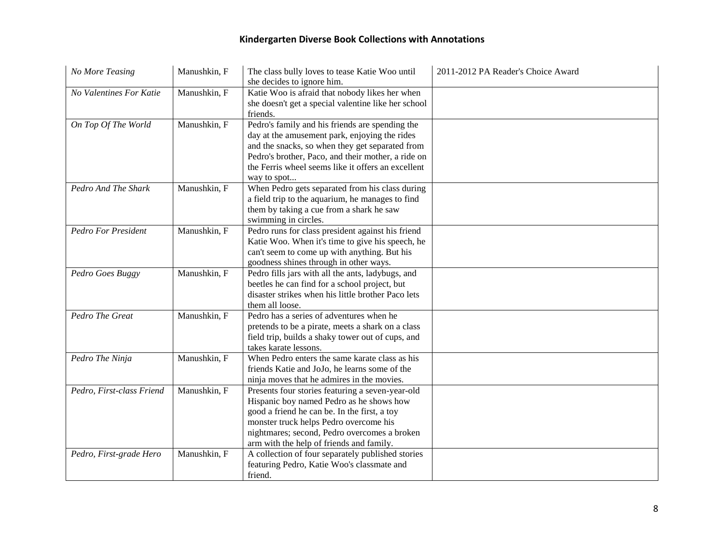| No More Teasing            | Manushkin, F | The class bully loves to tease Katie Woo until<br>she decides to ignore him.                                                                                                                                                                                                       | 2011-2012 PA Reader's Choice Award |
|----------------------------|--------------|------------------------------------------------------------------------------------------------------------------------------------------------------------------------------------------------------------------------------------------------------------------------------------|------------------------------------|
| No Valentines For Katie    | Manushkin, F | Katie Woo is afraid that nobody likes her when<br>she doesn't get a special valentine like her school<br>friends.                                                                                                                                                                  |                                    |
| On Top Of The World        | Manushkin, F | Pedro's family and his friends are spending the<br>day at the amusement park, enjoying the rides<br>and the snacks, so when they get separated from<br>Pedro's brother, Paco, and their mother, a ride on<br>the Ferris wheel seems like it offers an excellent<br>way to spot     |                                    |
| Pedro And The Shark        | Manushkin, F | When Pedro gets separated from his class during<br>a field trip to the aquarium, he manages to find<br>them by taking a cue from a shark he saw<br>swimming in circles.                                                                                                            |                                    |
| <b>Pedro For President</b> | Manushkin, F | Pedro runs for class president against his friend<br>Katie Woo. When it's time to give his speech, he<br>can't seem to come up with anything. But his<br>goodness shines through in other ways.                                                                                    |                                    |
| Pedro Goes Buggy           | Manushkin, F | Pedro fills jars with all the ants, ladybugs, and<br>beetles he can find for a school project, but<br>disaster strikes when his little brother Paco lets<br>them all loose.                                                                                                        |                                    |
| Pedro The Great            | Manushkin, F | Pedro has a series of adventures when he<br>pretends to be a pirate, meets a shark on a class<br>field trip, builds a shaky tower out of cups, and<br>takes karate lessons.                                                                                                        |                                    |
| Pedro The Ninja            | Manushkin, F | When Pedro enters the same karate class as his<br>friends Katie and JoJo, he learns some of the<br>ninja moves that he admires in the movies.                                                                                                                                      |                                    |
| Pedro, First-class Friend  | Manushkin, F | Presents four stories featuring a seven-year-old<br>Hispanic boy named Pedro as he shows how<br>good a friend he can be. In the first, a toy<br>monster truck helps Pedro overcome his<br>nightmares; second, Pedro overcomes a broken<br>arm with the help of friends and family. |                                    |
| Pedro, First-grade Hero    | Manushkin, F | A collection of four separately published stories<br>featuring Pedro, Katie Woo's classmate and<br>friend.                                                                                                                                                                         |                                    |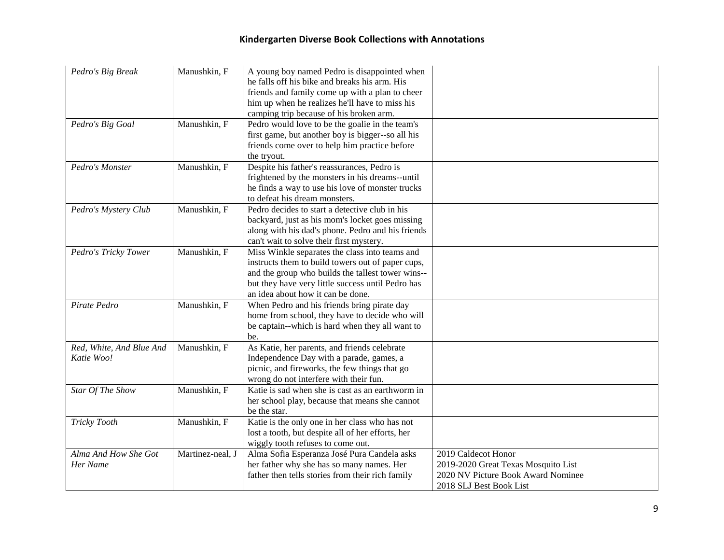| Pedro's Big Break                      | Manushkin, F     | A young boy named Pedro is disappointed when<br>he falls off his bike and breaks his arm. His<br>friends and family come up with a plan to cheer<br>him up when he realizes he'll have to miss his<br>camping trip because of his broken arm.      |                                                                                                                             |
|----------------------------------------|------------------|----------------------------------------------------------------------------------------------------------------------------------------------------------------------------------------------------------------------------------------------------|-----------------------------------------------------------------------------------------------------------------------------|
| Pedro's Big Goal                       | Manushkin, F     | Pedro would love to be the goalie in the team's<br>first game, but another boy is bigger--so all his<br>friends come over to help him practice before<br>the tryout.                                                                               |                                                                                                                             |
| Pedro's Monster                        | Manushkin, F     | Despite his father's reassurances, Pedro is<br>frightened by the monsters in his dreams--until<br>he finds a way to use his love of monster trucks<br>to defeat his dream monsters.                                                                |                                                                                                                             |
| Pedro's Mystery Club                   | Manushkin, F     | Pedro decides to start a detective club in his<br>backyard, just as his mom's locket goes missing<br>along with his dad's phone. Pedro and his friends<br>can't wait to solve their first mystery.                                                 |                                                                                                                             |
| Pedro's Tricky Tower                   | Manushkin, F     | Miss Winkle separates the class into teams and<br>instructs them to build towers out of paper cups,<br>and the group who builds the tallest tower wins--<br>but they have very little success until Pedro has<br>an idea about how it can be done. |                                                                                                                             |
| Pirate Pedro                           | Manushkin, F     | When Pedro and his friends bring pirate day<br>home from school, they have to decide who will<br>be captain--which is hard when they all want to<br>be.                                                                                            |                                                                                                                             |
| Red, White, And Blue And<br>Katie Woo! | Manushkin, F     | As Katie, her parents, and friends celebrate<br>Independence Day with a parade, games, a<br>picnic, and fireworks, the few things that go<br>wrong do not interfere with their fun.                                                                |                                                                                                                             |
| Star Of The Show                       | Manushkin, F     | Katie is sad when she is cast as an earthworm in<br>her school play, because that means she cannot<br>be the star.                                                                                                                                 |                                                                                                                             |
| Tricky Tooth                           | Manushkin, F     | Katie is the only one in her class who has not<br>lost a tooth, but despite all of her efforts, her<br>wiggly tooth refuses to come out.                                                                                                           |                                                                                                                             |
| Alma And How She Got<br>Her Name       | Martinez-neal, J | Alma Sofia Esperanza José Pura Candela asks<br>her father why she has so many names. Her<br>father then tells stories from their rich family                                                                                                       | 2019 Caldecot Honor<br>2019-2020 Great Texas Mosquito List<br>2020 NV Picture Book Award Nominee<br>2018 SLJ Best Book List |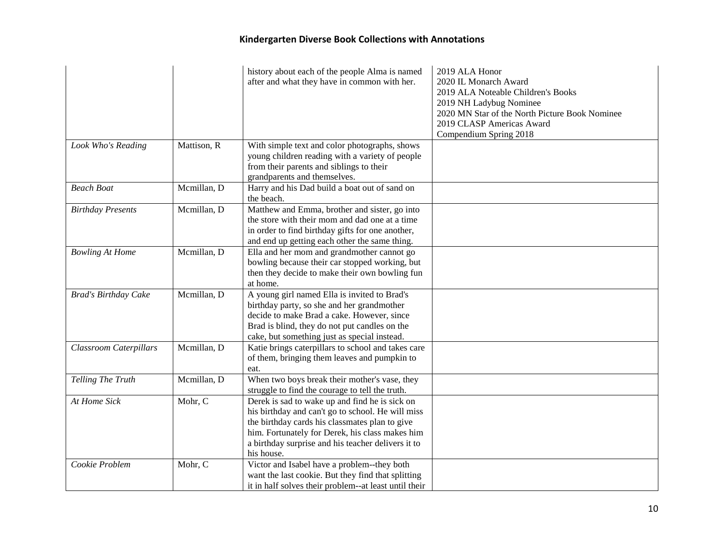|                               |             | history about each of the people Alma is named<br>after and what they have in common with her.                                                                                                                                                                               | 2019 ALA Honor<br>2020 IL Monarch Award<br>2019 ALA Noteable Children's Books<br>2019 NH Ladybug Nominee<br>2020 MN Star of the North Picture Book Nominee<br>2019 CLASP Americas Award<br>Compendium Spring 2018 |
|-------------------------------|-------------|------------------------------------------------------------------------------------------------------------------------------------------------------------------------------------------------------------------------------------------------------------------------------|-------------------------------------------------------------------------------------------------------------------------------------------------------------------------------------------------------------------|
| Look Who's Reading            | Mattison, R | With simple text and color photographs, shows<br>young children reading with a variety of people<br>from their parents and siblings to their<br>grandparents and themselves.                                                                                                 |                                                                                                                                                                                                                   |
| <b>Beach Boat</b>             | Mcmillan, D | Harry and his Dad build a boat out of sand on<br>the beach.                                                                                                                                                                                                                  |                                                                                                                                                                                                                   |
| <b>Birthday Presents</b>      | Mcmillan, D | Matthew and Emma, brother and sister, go into<br>the store with their mom and dad one at a time<br>in order to find birthday gifts for one another,<br>and end up getting each other the same thing.                                                                         |                                                                                                                                                                                                                   |
| <b>Bowling At Home</b>        | Mcmillan, D | Ella and her mom and grandmother cannot go<br>bowling because their car stopped working, but<br>then they decide to make their own bowling fun<br>at home.                                                                                                                   |                                                                                                                                                                                                                   |
| Brad's Birthday Cake          | Mcmillan, D | A young girl named Ella is invited to Brad's<br>birthday party, so she and her grandmother<br>decide to make Brad a cake. However, since<br>Brad is blind, they do not put candles on the<br>cake, but something just as special instead.                                    |                                                                                                                                                                                                                   |
| <b>Classroom Caterpillars</b> | Mcmillan, D | Katie brings caterpillars to school and takes care<br>of them, bringing them leaves and pumpkin to<br>eat.                                                                                                                                                                   |                                                                                                                                                                                                                   |
| Telling The Truth             | Mcmillan, D | When two boys break their mother's vase, they<br>struggle to find the courage to tell the truth.                                                                                                                                                                             |                                                                                                                                                                                                                   |
| At Home Sick                  | Mohr, C     | Derek is sad to wake up and find he is sick on<br>his birthday and can't go to school. He will miss<br>the birthday cards his classmates plan to give<br>him. Fortunately for Derek, his class makes him<br>a birthday surprise and his teacher delivers it to<br>his house. |                                                                                                                                                                                                                   |
| Cookie Problem                | Mohr, C     | Victor and Isabel have a problem--they both<br>want the last cookie. But they find that splitting<br>it in half solves their problem--at least until their                                                                                                                   |                                                                                                                                                                                                                   |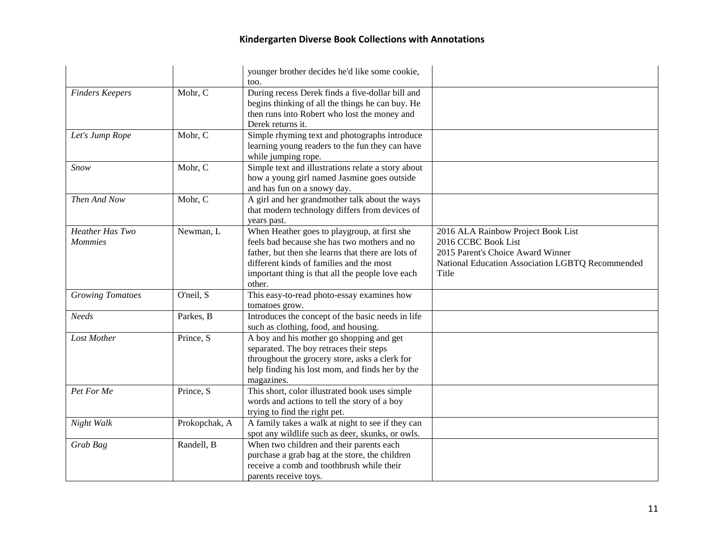|                                   |               | younger brother decides he'd like some cookie,                                                                                                                                                                                                               |                                                                                                                                                             |
|-----------------------------------|---------------|--------------------------------------------------------------------------------------------------------------------------------------------------------------------------------------------------------------------------------------------------------------|-------------------------------------------------------------------------------------------------------------------------------------------------------------|
| <b>Finders Keepers</b>            | Mohr, C       | too.<br>During recess Derek finds a five-dollar bill and<br>begins thinking of all the things he can buy. He<br>then runs into Robert who lost the money and<br>Derek returns it.                                                                            |                                                                                                                                                             |
| Let's Jump Rope                   | Mohr, C       | Simple rhyming text and photographs introduce<br>learning young readers to the fun they can have<br>while jumping rope.                                                                                                                                      |                                                                                                                                                             |
| Snow                              | Mohr, C       | Simple text and illustrations relate a story about<br>how a young girl named Jasmine goes outside<br>and has fun on a snowy day.                                                                                                                             |                                                                                                                                                             |
| Then And Now                      | Mohr, C       | A girl and her grandmother talk about the ways<br>that modern technology differs from devices of<br>years past.                                                                                                                                              |                                                                                                                                                             |
| Heather Has Two<br><b>Mommies</b> | Newman, L     | When Heather goes to playgroup, at first she<br>feels bad because she has two mothers and no<br>father, but then she learns that there are lots of<br>different kinds of families and the most<br>important thing is that all the people love each<br>other. | 2016 ALA Rainbow Project Book List<br>2016 CCBC Book List<br>2015 Parent's Choice Award Winner<br>National Education Association LGBTQ Recommended<br>Title |
| <b>Growing Tomatoes</b>           | O'neil, S     | This easy-to-read photo-essay examines how<br>tomatoes grow.                                                                                                                                                                                                 |                                                                                                                                                             |
| <b>Needs</b>                      | Parkes, B     | Introduces the concept of the basic needs in life<br>such as clothing, food, and housing.                                                                                                                                                                    |                                                                                                                                                             |
| Lost Mother                       | Prince, S     | A boy and his mother go shopping and get<br>separated. The boy retraces their steps<br>throughout the grocery store, asks a clerk for<br>help finding his lost mom, and finds her by the<br>magazines.                                                       |                                                                                                                                                             |
| Pet For Me                        | Prince, S     | This short, color illustrated book uses simple<br>words and actions to tell the story of a boy<br>trying to find the right pet.                                                                                                                              |                                                                                                                                                             |
| Night Walk                        | Prokopchak, A | A family takes a walk at night to see if they can<br>spot any wildlife such as deer, skunks, or owls.                                                                                                                                                        |                                                                                                                                                             |
| Grab Bag                          | Randell, B    | When two children and their parents each<br>purchase a grab bag at the store, the children<br>receive a comb and toothbrush while their<br>parents receive toys.                                                                                             |                                                                                                                                                             |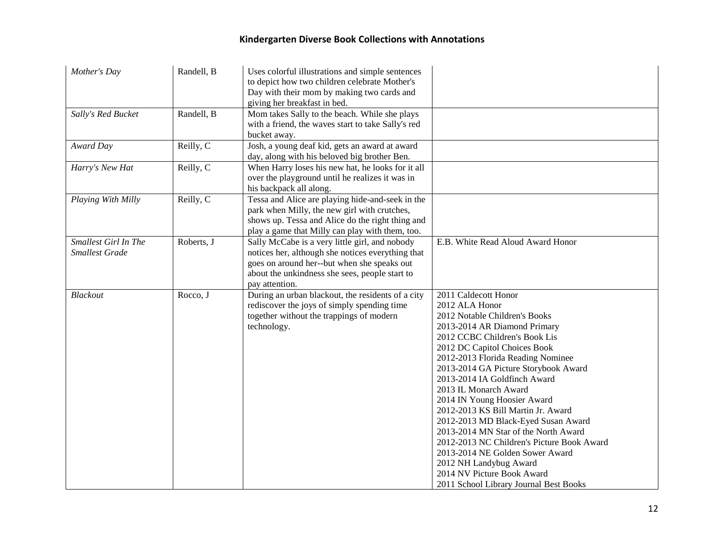| Mother's Day                                  | Randell, B | Uses colorful illustrations and simple sentences<br>to depict how two children celebrate Mother's<br>Day with their mom by making two cards and<br>giving her breakfast in bed.                                        |                                                                                                                                                                                                                                                                                                                                                                                                                                                                                                                                                                                                                                                       |
|-----------------------------------------------|------------|------------------------------------------------------------------------------------------------------------------------------------------------------------------------------------------------------------------------|-------------------------------------------------------------------------------------------------------------------------------------------------------------------------------------------------------------------------------------------------------------------------------------------------------------------------------------------------------------------------------------------------------------------------------------------------------------------------------------------------------------------------------------------------------------------------------------------------------------------------------------------------------|
| Sally's Red Bucket                            | Randell, B | Mom takes Sally to the beach. While she plays<br>with a friend, the waves start to take Sally's red<br>bucket away.                                                                                                    |                                                                                                                                                                                                                                                                                                                                                                                                                                                                                                                                                                                                                                                       |
| Award Day                                     | Reilly, C  | Josh, a young deaf kid, gets an award at award<br>day, along with his beloved big brother Ben.                                                                                                                         |                                                                                                                                                                                                                                                                                                                                                                                                                                                                                                                                                                                                                                                       |
| Harry's New Hat                               | Reilly, C  | When Harry loses his new hat, he looks for it all<br>over the playground until he realizes it was in<br>his backpack all along.                                                                                        |                                                                                                                                                                                                                                                                                                                                                                                                                                                                                                                                                                                                                                                       |
| Playing With Milly                            | Reilly, C  | Tessa and Alice are playing hide-and-seek in the<br>park when Milly, the new girl with crutches,<br>shows up. Tessa and Alice do the right thing and<br>play a game that Milly can play with them, too.                |                                                                                                                                                                                                                                                                                                                                                                                                                                                                                                                                                                                                                                                       |
| Smallest Girl In The<br><b>Smallest Grade</b> | Roberts, J | Sally McCabe is a very little girl, and nobody<br>notices her, although she notices everything that<br>goes on around her--but when she speaks out<br>about the unkindness she sees, people start to<br>pay attention. | E.B. White Read Aloud Award Honor                                                                                                                                                                                                                                                                                                                                                                                                                                                                                                                                                                                                                     |
| Blackout                                      | Rocco, J   | During an urban blackout, the residents of a city<br>rediscover the joys of simply spending time<br>together without the trappings of modern<br>technology.                                                            | 2011 Caldecott Honor<br>2012 ALA Honor<br>2012 Notable Children's Books<br>2013-2014 AR Diamond Primary<br>2012 CCBC Children's Book Lis<br>2012 DC Capitol Choices Book<br>2012-2013 Florida Reading Nominee<br>2013-2014 GA Picture Storybook Award<br>2013-2014 IA Goldfinch Award<br>2013 IL Monarch Award<br>2014 IN Young Hoosier Award<br>2012-2013 KS Bill Martin Jr. Award<br>2012-2013 MD Black-Eyed Susan Award<br>2013-2014 MN Star of the North Award<br>2012-2013 NC Children's Picture Book Award<br>2013-2014 NE Golden Sower Award<br>2012 NH Landybug Award<br>2014 NV Picture Book Award<br>2011 School Library Journal Best Books |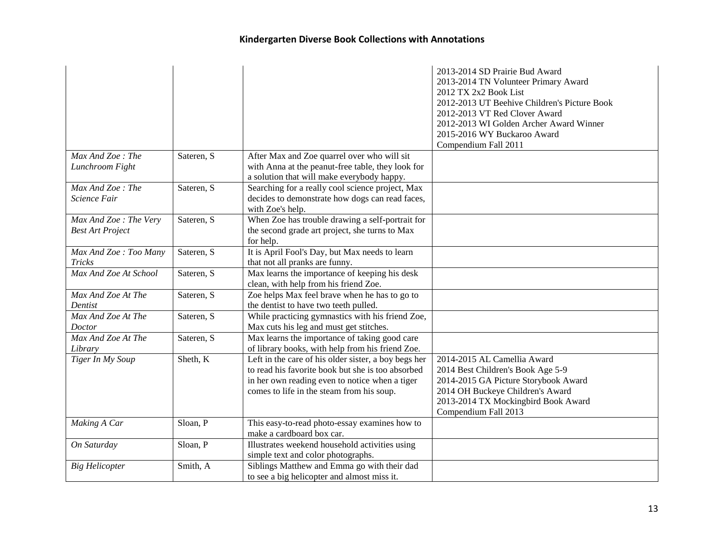|                         |            |                                                      | 2013-2014 SD Prairie Bud Award               |
|-------------------------|------------|------------------------------------------------------|----------------------------------------------|
|                         |            |                                                      | 2013-2014 TN Volunteer Primary Award         |
|                         |            |                                                      | 2012 TX 2x2 Book List                        |
|                         |            |                                                      | 2012-2013 UT Beehive Children's Picture Book |
|                         |            |                                                      | 2012-2013 VT Red Clover Award                |
|                         |            |                                                      | 2012-2013 WI Golden Archer Award Winner      |
|                         |            |                                                      | 2015-2016 WY Buckaroo Award                  |
|                         |            |                                                      | Compendium Fall 2011                         |
| Max And Zoe: The        | Sateren, S | After Max and Zoe quarrel over who will sit          |                                              |
| Lunchroom Fight         |            | with Anna at the peanut-free table, they look for    |                                              |
|                         |            | a solution that will make everybody happy.           |                                              |
| Max And Zoe: The        | Sateren, S | Searching for a really cool science project, Max     |                                              |
| Science Fair            |            | decides to demonstrate how dogs can read faces,      |                                              |
|                         |            | with Zoe's help.                                     |                                              |
| Max And Zoe: The Very   | Sateren, S | When Zoe has trouble drawing a self-portrait for     |                                              |
| <b>Best Art Project</b> |            | the second grade art project, she turns to Max       |                                              |
|                         |            | for help.                                            |                                              |
| Max And Zoe: Too Many   | Sateren, S | It is April Fool's Day, but Max needs to learn       |                                              |
| <b>Tricks</b>           |            | that not all pranks are funny.                       |                                              |
| Max And Zoe At School   | Sateren, S | Max learns the importance of keeping his desk        |                                              |
|                         |            | clean, with help from his friend Zoe.                |                                              |
| Max And Zoe At The      | Sateren, S | Zoe helps Max feel brave when he has to go to        |                                              |
| Dentist                 |            | the dentist to have two teeth pulled.                |                                              |
| Max And Zoe At The      | Sateren, S | While practicing gymnastics with his friend Zoe,     |                                              |
| <b>Doctor</b>           |            | Max cuts his leg and must get stitches.              |                                              |
| Max And Zoe At The      | Sateren, S | Max learns the importance of taking good care        |                                              |
| Library                 |            | of library books, with help from his friend Zoe.     |                                              |
| Tiger In My Soup        | Sheth, K   | Left in the care of his older sister, a boy begs her | 2014-2015 AL Camellia Award                  |
|                         |            | to read his favorite book but she is too absorbed    | 2014 Best Children's Book Age 5-9            |
|                         |            | in her own reading even to notice when a tiger       | 2014-2015 GA Picture Storybook Award         |
|                         |            | comes to life in the steam from his soup.            | 2014 OH Buckeye Children's Award             |
|                         |            |                                                      | 2013-2014 TX Mockingbird Book Award          |
|                         |            |                                                      | Compendium Fall 2013                         |
| Making A Car            | Sloan, P   | This easy-to-read photo-essay examines how to        |                                              |
|                         |            | make a cardboard box car.                            |                                              |
| On Saturday             | Sloan, P   | Illustrates weekend household activities using       |                                              |
|                         |            | simple text and color photographs.                   |                                              |
| <b>Big Helicopter</b>   | Smith, A   | Siblings Matthew and Emma go with their dad          |                                              |
|                         |            | to see a big helicopter and almost miss it.          |                                              |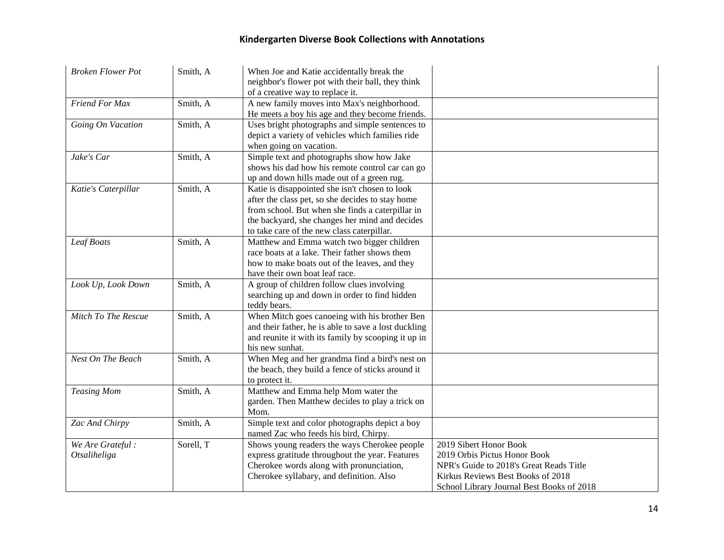| <b>Broken Flower Pot</b> | Smith, A  | When Joe and Katie accidentally break the                                             |                                           |
|--------------------------|-----------|---------------------------------------------------------------------------------------|-------------------------------------------|
|                          |           | neighbor's flower pot with their ball, they think<br>of a creative way to replace it. |                                           |
| Friend For Max           | Smith, A  | A new family moves into Max's neighborhood.                                           |                                           |
|                          |           | He meets a boy his age and they become friends.                                       |                                           |
| Going On Vacation        | Smith, A  | Uses bright photographs and simple sentences to                                       |                                           |
|                          |           | depict a variety of vehicles which families ride                                      |                                           |
|                          |           | when going on vacation.                                                               |                                           |
| Jake's Car               | Smith, A  | Simple text and photographs show how Jake                                             |                                           |
|                          |           | shows his dad how his remote control car can go                                       |                                           |
|                          |           | up and down hills made out of a green rug.                                            |                                           |
| Katie's Caterpillar      | Smith, A  | Katie is disappointed she isn't chosen to look                                        |                                           |
|                          |           | after the class pet, so she decides to stay home                                      |                                           |
|                          |           | from school. But when she finds a caterpillar in                                      |                                           |
|                          |           | the backyard, she changes her mind and decides                                        |                                           |
|                          |           | to take care of the new class caterpillar.                                            |                                           |
| Leaf Boats               | Smith, A  | Matthew and Emma watch two bigger children                                            |                                           |
|                          |           | race boats at a lake. Their father shows them                                         |                                           |
|                          |           | how to make boats out of the leaves, and they                                         |                                           |
|                          |           | have their own boat leaf race.                                                        |                                           |
| Look Up, Look Down       | Smith, A  | A group of children follow clues involving                                            |                                           |
|                          |           | searching up and down in order to find hidden                                         |                                           |
| Mitch To The Rescue      | Smith, A  | teddy bears.<br>When Mitch goes canoeing with his brother Ben                         |                                           |
|                          |           | and their father, he is able to save a lost duckling                                  |                                           |
|                          |           | and reunite it with its family by scooping it up in                                   |                                           |
|                          |           | his new sunhat.                                                                       |                                           |
| Nest On The Beach        | Smith, A  | When Meg and her grandma find a bird's nest on                                        |                                           |
|                          |           | the beach, they build a fence of sticks around it                                     |                                           |
|                          |           | to protect it.                                                                        |                                           |
| <b>Teasing Mom</b>       | Smith, A  | Matthew and Emma help Mom water the                                                   |                                           |
|                          |           | garden. Then Matthew decides to play a trick on                                       |                                           |
|                          |           | Mom.                                                                                  |                                           |
| Zac And Chirpy           | Smith, A  | Simple text and color photographs depict a boy                                        |                                           |
|                          |           | named Zac who feeds his bird, Chirpy.                                                 |                                           |
| We Are Grateful:         | Sorell, T | Shows young readers the ways Cherokee people                                          | 2019 Sibert Honor Book                    |
| Otsaliheliga             |           | express gratitude throughout the year. Features                                       | 2019 Orbis Pictus Honor Book              |
|                          |           | Cherokee words along with pronunciation,                                              | NPR's Guide to 2018's Great Reads Title   |
|                          |           | Cherokee syllabary, and definition. Also                                              | Kirkus Reviews Best Books of 2018         |
|                          |           |                                                                                       | School Library Journal Best Books of 2018 |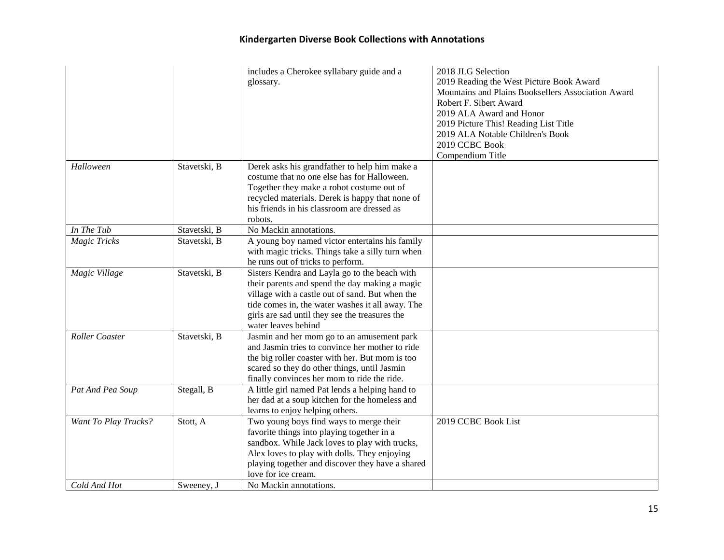|                       |                         | includes a Cherokee syllabary guide and a<br>glossary.                                                                                                                                                                                                                          | 2018 JLG Selection<br>2019 Reading the West Picture Book Award<br>Mountains and Plains Booksellers Association Award<br>Robert F. Sibert Award<br>2019 ALA Award and Honor<br>2019 Picture This! Reading List Title<br>2019 ALA Notable Children's Book<br>2019 CCBC Book<br>Compendium Title |
|-----------------------|-------------------------|---------------------------------------------------------------------------------------------------------------------------------------------------------------------------------------------------------------------------------------------------------------------------------|-----------------------------------------------------------------------------------------------------------------------------------------------------------------------------------------------------------------------------------------------------------------------------------------------|
| Halloween             | Stavetski, B            | Derek asks his grandfather to help him make a<br>costume that no one else has for Halloween.<br>Together they make a robot costume out of<br>recycled materials. Derek is happy that none of<br>his friends in his classroom are dressed as<br>robots.                          |                                                                                                                                                                                                                                                                                               |
| In The Tub            | Stavetski, B            | No Mackin annotations.                                                                                                                                                                                                                                                          |                                                                                                                                                                                                                                                                                               |
| <b>Magic Tricks</b>   | Stavetski, B            | A young boy named victor entertains his family<br>with magic tricks. Things take a silly turn when<br>he runs out of tricks to perform.                                                                                                                                         |                                                                                                                                                                                                                                                                                               |
| Magic Village         | Stavetski, B            | Sisters Kendra and Layla go to the beach with<br>their parents and spend the day making a magic<br>village with a castle out of sand. But when the<br>tide comes in, the water washes it all away. The<br>girls are sad until they see the treasures the<br>water leaves behind |                                                                                                                                                                                                                                                                                               |
| <b>Roller</b> Coaster | Stavetski, B            | Jasmin and her mom go to an amusement park<br>and Jasmin tries to convince her mother to ride<br>the big roller coaster with her. But mom is too<br>scared so they do other things, until Jasmin<br>finally convinces her mom to ride the ride.                                 |                                                                                                                                                                                                                                                                                               |
| Pat And Pea Soup      | Stegall, $\overline{B}$ | A little girl named Pat lends a helping hand to<br>her dad at a soup kitchen for the homeless and<br>learns to enjoy helping others.                                                                                                                                            |                                                                                                                                                                                                                                                                                               |
| Want To Play Trucks?  | Stott, A                | Two young boys find ways to merge their<br>favorite things into playing together in a<br>sandbox. While Jack loves to play with trucks,<br>Alex loves to play with dolls. They enjoying<br>playing together and discover they have a shared<br>love for ice cream.              | 2019 CCBC Book List                                                                                                                                                                                                                                                                           |
| Cold And Hot          | Sweeney. J              | No Mackin annotations.                                                                                                                                                                                                                                                          |                                                                                                                                                                                                                                                                                               |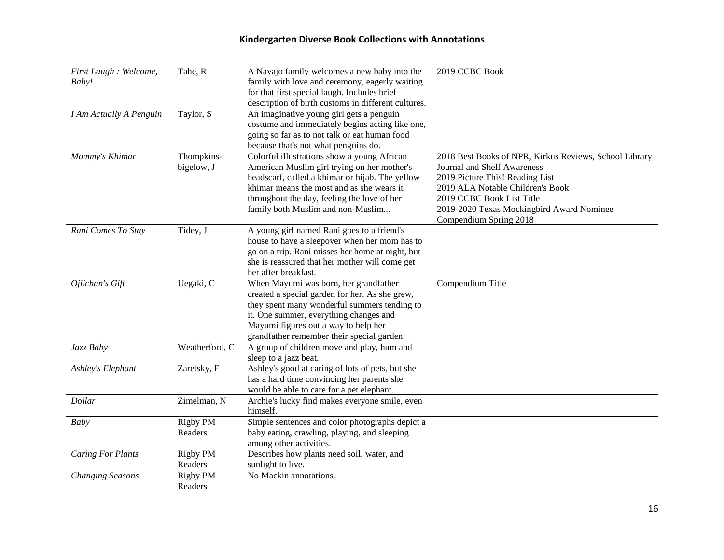| First Laugh : Welcome,<br>Baby! | Tahe, R                    | A Navajo family welcomes a new baby into the<br>family with love and ceremony, eagerly waiting<br>for that first special laugh. Includes brief<br>description of birth customs in different cultures.                                                                          | 2019 CCBC Book                                                                                                                                                                                                                                                          |
|---------------------------------|----------------------------|--------------------------------------------------------------------------------------------------------------------------------------------------------------------------------------------------------------------------------------------------------------------------------|-------------------------------------------------------------------------------------------------------------------------------------------------------------------------------------------------------------------------------------------------------------------------|
| <b>I Am Actually A Penguin</b>  | Taylor, S                  | An imaginative young girl gets a penguin<br>costume and immediately begins acting like one,<br>going so far as to not talk or eat human food<br>because that's not what penguins do.                                                                                           |                                                                                                                                                                                                                                                                         |
| Mommy's Khimar                  | Thompkins-<br>bigelow, J   | Colorful illustrations show a young African<br>American Muslim girl trying on her mother's<br>headscarf, called a khimar or hijab. The yellow<br>khimar means the most and as she wears it<br>throughout the day, feeling the love of her<br>family both Muslim and non-Muslim | 2018 Best Books of NPR, Kirkus Reviews, School Library<br><b>Journal and Shelf Awareness</b><br>2019 Picture This! Reading List<br>2019 ALA Notable Children's Book<br>2019 CCBC Book List Title<br>2019-2020 Texas Mockingbird Award Nominee<br>Compendium Spring 2018 |
| Rani Comes To Stay              | Tidey, J                   | A young girl named Rani goes to a friend's<br>house to have a sleepover when her mom has to<br>go on a trip. Rani misses her home at night, but<br>she is reassured that her mother will come get<br>her after breakfast.                                                      |                                                                                                                                                                                                                                                                         |
| Ojiichan's Gift                 | Uegaki, C                  | When Mayumi was born, her grandfather<br>created a special garden for her. As she grew,<br>they spent many wonderful summers tending to<br>it. One summer, everything changes and<br>Mayumi figures out a way to help her<br>grandfather remember their special garden.        | Compendium Title                                                                                                                                                                                                                                                        |
| Jazz Baby                       | Weatherford, C             | A group of children move and play, hum and<br>sleep to a jazz beat.                                                                                                                                                                                                            |                                                                                                                                                                                                                                                                         |
| Ashley's Elephant               | Zaretsky, E                | Ashley's good at caring of lots of pets, but she<br>has a hard time convincing her parents she<br>would be able to care for a pet elephant.                                                                                                                                    |                                                                                                                                                                                                                                                                         |
| Dollar                          | Zimelman, N                | Archie's lucky find makes everyone smile, even<br>himself.                                                                                                                                                                                                                     |                                                                                                                                                                                                                                                                         |
| <b>Baby</b>                     | <b>Rigby PM</b><br>Readers | Simple sentences and color photographs depict a<br>baby eating, crawling, playing, and sleeping<br>among other activities.                                                                                                                                                     |                                                                                                                                                                                                                                                                         |
| <b>Caring For Plants</b>        | Rigby PM<br>Readers        | Describes how plants need soil, water, and<br>sunlight to live.                                                                                                                                                                                                                |                                                                                                                                                                                                                                                                         |
| <b>Changing Seasons</b>         | Rigby PM<br>Readers        | No Mackin annotations.                                                                                                                                                                                                                                                         |                                                                                                                                                                                                                                                                         |